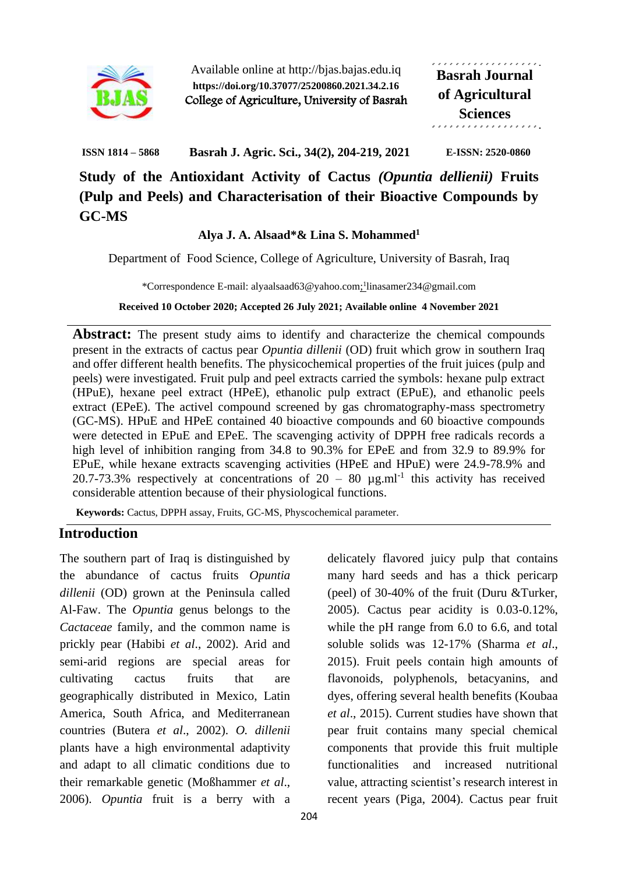

Available online at http://bjas.bajas.edu.iq **https://doi.org/10.37077/25200860.2021.34.2.16** College of Agriculture, University of Basrah **Basrah Journal of Agricultural Sciences**

**ISSN 1814 – 5868 Basrah J. Agric. Sci., 34(2), 204-219, 2021 E-ISSN: 2520-0860**

**Study of the Antioxidant Activity of Cactus** *(Opuntia dellienii)* **Fruits (Pulp and Peels) and Characterisation of their Bioactive Compounds by GC-MS**

## **Alya J. A. Alsaad\*& Lina S. Mohammed<sup>1</sup>**

Department of Food Science, College of Agriculture, University of Basrah, Iraq

\*Correspondence E-mail: alyaalsaad63@yahoo.com; 1 linasamer234@gmail.com

#### **Received 10 October 2020; Accepted 26 July 2021; Available online 4 November 2021**

Abstract: The present study aims to identify and characterize the chemical compounds present in the extracts of cactus pear *Opuntia dillenii* (OD) fruit which grow in southern Iraq and offer different health benefits. The physicochemical properties of the fruit juices (pulp and peels) were investigated. Fruit pulp and peel extracts carried the symbols: hexane pulp extract (HPuE), hexane peel extract (HPeE), ethanolic pulp extract (EPuE), and ethanolic peels extract (EPeE). The activel compound screened by gas chromatography-mass spectrometry (GC-MS). HPuE and HPeE contained 40 bioactive compounds and 60 bioactive compounds were detected in EPuE and EPeE. The scavenging activity of DPPH free radicals records a high level of inhibition ranging from 34.8 to 90.3% for EPeE and from 32.9 to 89.9% for EPuE, while hexane extracts scavenging activities (HPeE and HPuE) were 24.9-78.9% and 20.7-73.3% respectively at concentrations of  $20 - 80 \mu g$ .ml<sup>-1</sup> this activity has received considerable attention because of their physiological functions.

**Keywords:** Cactus, DPPH assay, Fruits, GC-MS, Physcochemical parameter.

## **Introduction**

The southern part of Iraq is distinguished by the abundance of cactus fruits *Opuntia dillenii* (OD) grown at the Peninsula called Al-Faw. The *Opuntia* genus belongs to the *Cactaceae* family, and the common name is prickly pear (Habibi *et al*., 2002). Arid and semi-arid regions are special areas for cultivating cactus fruits that are geographically distributed in Mexico, Latin America, South Africa, and Mediterranean countries (Butera *et al*., 2002). *O. dillenii* plants have a high environmental adaptivity and adapt to all climatic conditions due to their remarkable genetic (Moßhammer *et al*., 2006). *Opuntia* fruit is a berry with a

delicately flavored juicy pulp that contains many hard seeds and has a thick pericarp (peel) of 30-40% of the fruit (Duru &Turker, 2005). Cactus pear acidity is 0.03-0.12%, while the pH range from 6.0 to 6.6, and total soluble solids was 12-17% (Sharma *et al*., 2015). Fruit peels contain high amounts of flavonoids, polyphenols, betacyanins, and dyes, offering several health benefits (Koubaa *et al*., 2015). Current studies have shown that pear fruit contains many special chemical components that provide this fruit multiple functionalities and increased nutritional value, attracting scientist's research interest in recent years (Piga, 2004). Cactus pear fruit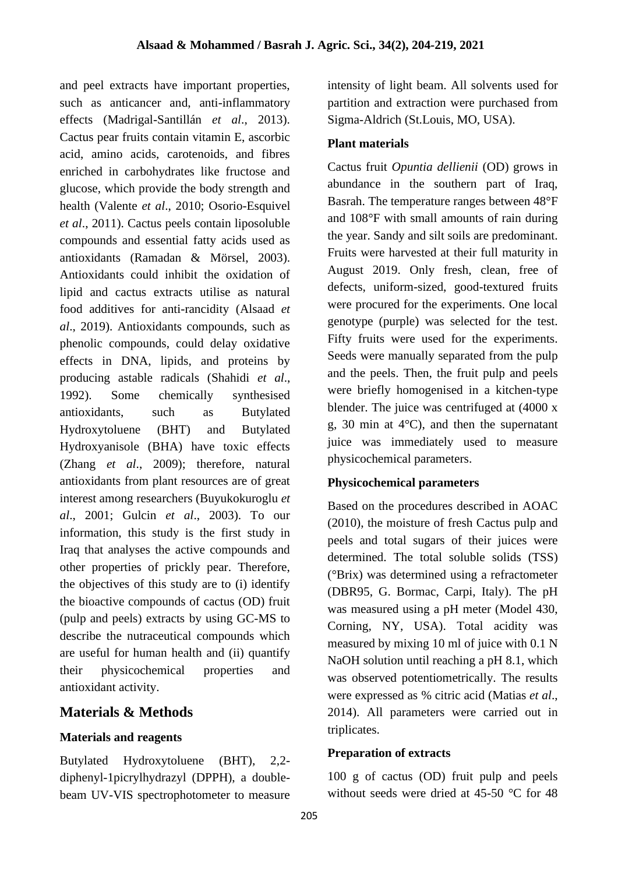and peel extracts have important properties, such as anticancer and, anti-inflammatory effects (Madrigal-Santillán *et al*., 2013). Cactus pear fruits contain vitamin E, ascorbic acid, amino acids, carotenoids, and fibres enriched in carbohydrates like fructose and glucose, which provide the body strength and health (Valente *et al*., 2010; Osorio-Esquivel *et al*., 2011). Cactus peels contain liposoluble compounds and essential fatty acids used as antioxidants (Ramadan & Mörsel, 2003). Antioxidants could inhibit the oxidation of lipid and cactus extracts utilise as natural food additives for anti-rancidity (Alsaad *et al*., 2019). Antioxidants compounds, such as phenolic compounds, could delay oxidative effects in DNA, lipids, and proteins by producing astable radicals (Shahidi *et al*., 1992). Some chemically synthesised antioxidants, such as Butylated Hydroxytoluene (BHT) and Butylated Hydroxyanisole (BHA) have toxic effects (Zhang *et al*., 2009); therefore, natural antioxidants from plant resources are of great interest among researchers (Buyukokuroglu *et al*., 2001; Gulcin *et al*., 2003). To our information, this study is the first study in Iraq that analyses the active compounds and other properties of prickly pear. Therefore, the objectives of this study are to (i) identify the bioactive compounds of cactus (OD) fruit (pulp and peels) extracts by using GC-MS to describe the nutraceutical compounds which are useful for human health and (ii) quantify their physicochemical properties and antioxidant activity.

## **Materials & Methods**

## **Materials and reagents**

Butylated Hydroxytoluene (BHT), 2,2 diphenyl-1picrylhydrazyl (DPPH), a doublebeam UV-VIS spectrophotometer to measure intensity of light beam. All solvents used for partition and extraction were purchased from Sigma-Aldrich (St.Louis, MO, USA).

#### **Plant materials**

Cactus fruit *Opuntia dellienii* (OD) grows in abundance in the southern part of Iraq, Basrah. The temperature ranges between 48°F and 108°F with small amounts of rain during the year. Sandy and silt soils are predominant. Fruits were harvested at their full maturity in August 2019. Only fresh, clean, free of defects, uniform-sized, good-textured fruits were procured for the experiments. One local genotype (purple) was selected for the test. Fifty fruits were used for the experiments. Seeds were manually separated from the pulp and the peels. Then, the fruit pulp and peels were briefly homogenised in a kitchen-type blender. The juice was centrifuged at (4000 x g, 30 min at 4°C), and then the supernatant juice was immediately used to measure physicochemical parameters.

## **Physicochemical parameters**

Based on the procedures described in AOAC (2010), the moisture of fresh Cactus pulp and peels and total sugars of their juices were determined. The total soluble solids (TSS) (°Brix) was determined using a refractometer (DBR95, G. Bormac, Carpi, Italy). The pH was measured using a pH meter (Model 430, Corning, NY, USA). Total acidity was measured by mixing 10 ml of juice with 0.1 N NaOH solution until reaching a pH 8.1, which was observed potentiometrically. The results were expressed as % citric acid (Matias *et al*., 2014). All parameters were carried out in triplicates.

## **Preparation of extracts**

100 g of cactus (OD) fruit pulp and peels without seeds were dried at 45-50 °C for 48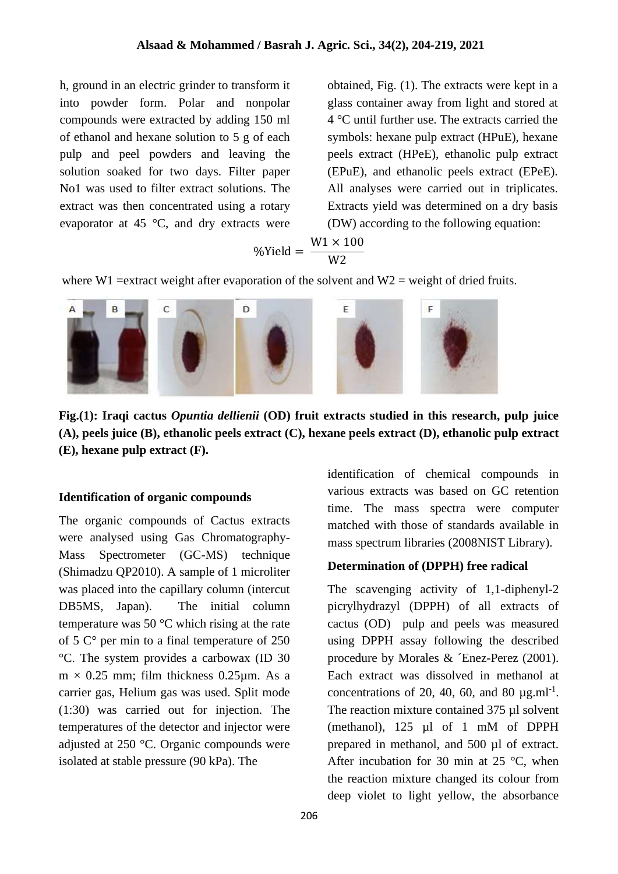h, ground in an electric grinder to transform it into powder form. Polar and nonpolar compounds were extracted by adding 150 ml of ethanol and hexane solution to 5 g of each pulp and peel powders and leaving the solution soaked for two days. Filter paper No1 was used to filter extract solutions. The extract was then concentrated using a rotary evaporator at 45  $\degree$ C, and dry extracts were obtained, Fig. (1). The extracts were kept in a glass container away from light and stored at 4 °C until further use. The extracts carried the symbols: hexane pulp extract (HPuE), hexane peels extract (HPeE), ethanolic pulp extract (EPuE), and ethanolic peels extract (EPeE). All analyses were carried out in triplicates. Extracts yield was determined on a dry basis (DW) according to the following equation:

$$
\% \text{Yield} = \frac{\text{W1} \times 100}{\text{W2}}
$$

where W1 = extract weight after evaporation of the solvent and  $W2$  = weight of dried fruits.



**Fig.(1): Iraqi cactus** *Opuntia dellienii* **(OD) fruit extracts studied in this research, pulp juice (A), peels juice (B), ethanolic peels extract (C), hexane peels extract (D), ethanolic pulp extract (E), hexane pulp extract (F).**

#### **Identification of organic compounds**

The organic compounds of Cactus extracts were analysed using Gas Chromatography-Mass Spectrometer (GC-MS) technique (Shimadzu QP2010). A sample of 1 microliter was placed into the capillary column (intercut DB5MS, Japan). The initial column temperature was 50 °C which rising at the rate of 5 C° per min to a final temperature of 250 °C. The system provides a carbowax (ID 30  $m \times 0.25$  mm; film thickness 0.25 $\mu$ m. As a carrier gas, Helium gas was used. Split mode (1:30) was carried out for injection. The temperatures of the detector and injector were adjusted at 250 °C. Organic compounds were isolated at stable pressure (90 kPa). The

identification of chemical compounds in various extracts was based on GC retention time. The mass spectra were computer matched with those of standards available in mass spectrum libraries (2008NIST Library).

#### **Determination of (DPPH) free radical**

The scavenging activity of 1,1-diphenyl-2 picrylhydrazyl (DPPH) of all extracts of cactus (OD) pulp and peels was measured using DPPH assay following the described procedure by Morales & ´Enez-Perez (2001). Each extract was dissolved in methanol at concentrations of 20, 40, 60, and 80  $\mu$ g.ml<sup>-1</sup>. The reaction mixture contained 375 µl solvent (methanol), 125 µl of 1 mM of DPPH prepared in methanol, and 500 µl of extract. After incubation for 30 min at  $25^{\circ}$ C, when the reaction mixture changed its colour from deep violet to light yellow, the absorbance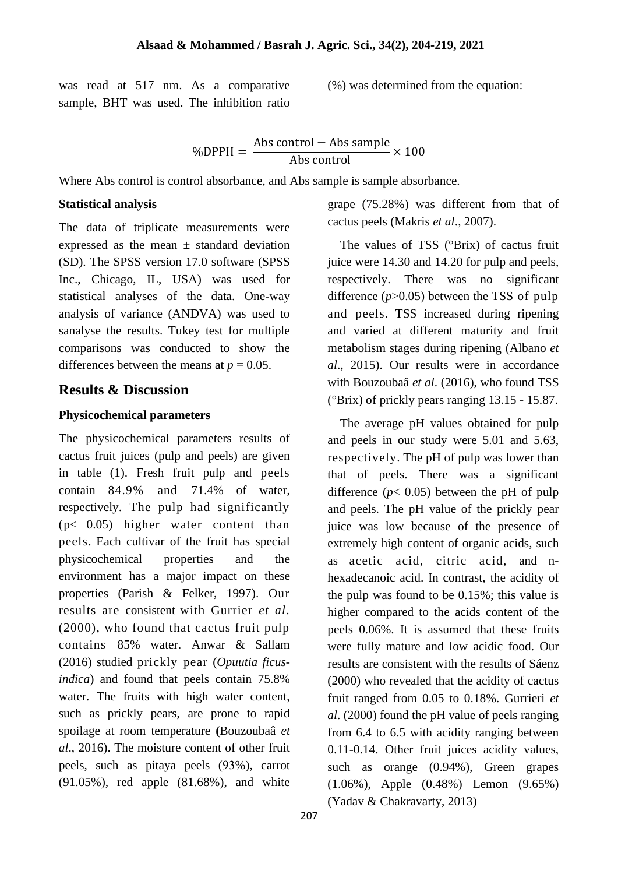was read at 517 nm. As a comparative sample, BHT was used. The inhibition ratio (%) was determined from the equation:

$$
\%DPPH = \frac{Abs\ control - Abs\ sample}{Abs\ control} \times 100
$$

Where Abs control is control absorbance, and Abs sample is sample absorbance.

#### **Statistical analysis**

The data of triplicate measurements were expressed as the mean  $\pm$  standard deviation (SD). The SPSS version 17.0 software (SPSS Inc., Chicago, IL, USA) was used for statistical analyses of the data. One-way analysis of variance (ANDVA) was used to sanalyse the results. Tukey test for multiple comparisons was conducted to show the differences between the means at  $p = 0.05$ .

## **Results & Discussion**

#### **Physicochemical parameters**

The physicochemical parameters results of cactus fruit juices (pulp and peels) are given in table (1). Fresh fruit pulp and peels contain 84.9% and 71.4% of water, respectively. The pulp had significantly (p< 0.05) higher water content than peels. Each cultivar of the fruit has special physicochemical properties and the environment has a major impact on these properties (Parish & Felker, 1997). Our results are consistent with Gurrier *et al*. (2000), who found that cactus fruit pulp contains 85% water. Anwar & Sallam (2016) studied prickly pear (*Opuutia ficusindica*) and found that peels contain 75.8% water. The fruits with high water content, such as prickly pears, are prone to rapid spoilage at room temperature **(**Bouzoubaâ *et al*., 2016). The moisture content of other fruit peels, such as pitaya peels (93%), carrot (91.05%), red apple (81.68%), and white

grape (75.28%) was different from that of cactus peels (Makris *et al*., 2007).

 The values of TSS (°Brix) of cactus fruit juice were 14.30 and 14.20 for pulp and peels, respectively. There was no significant difference (*p*>0.05) between the TSS of pulp and peels. TSS increased during ripening and varied at different maturity and fruit metabolism stages during ripening (Albano *et al*., 2015). Our results were in accordance with Bouzoubaâ *et al*. (2016), who found TSS (°Brix) of prickly pears ranging 13.15 - 15.87.

 The average pH values obtained for pulp and peels in our study were 5.01 and 5.63, respectively. The pH of pulp was lower than that of peels. There was a significant difference  $(p< 0.05)$  between the pH of pulp and peels. The pH value of the prickly pear juice was low because of the presence of extremely high content of organic acids, such as acetic acid, citric acid, and nhexadecanoic acid. In contrast, the acidity of the pulp was found to be 0.15%; this value is higher compared to the acids content of the peels 0.06%. It is assumed that these fruits were fully mature and low acidic food. Our results are consistent with the results of Sáenz (2000) who revealed that the acidity of cactus fruit ranged from 0.05 to 0.18%. Gurrieri *et al*. (2000) found the pH value of peels ranging from 6.4 to 6.5 with acidity ranging between 0.11-0.14. Other fruit juices acidity values, such as orange (0.94%), Green grapes (1.06%), Apple (0.48%) Lemon (9.65%) (Yadav & Chakravarty, 2013)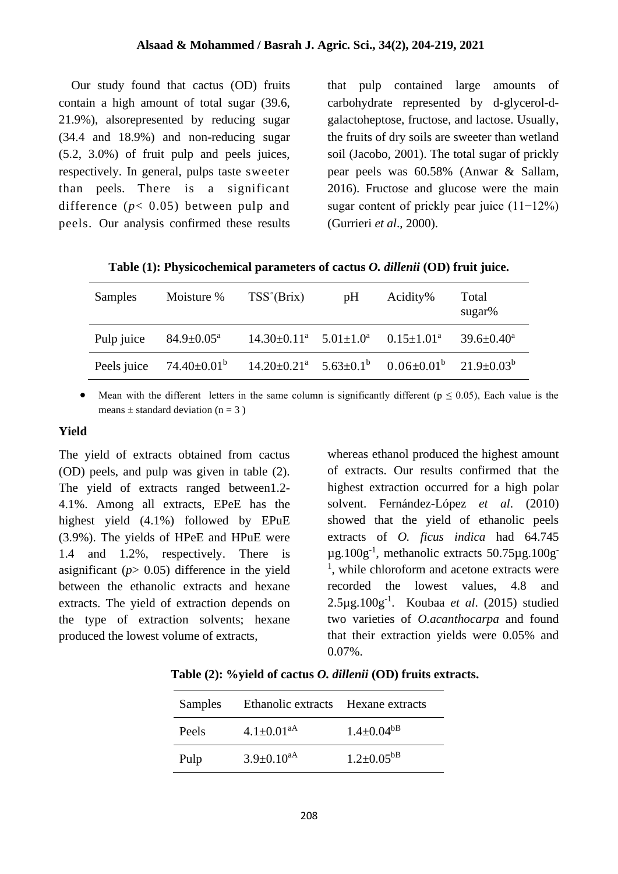Our study found that cactus (OD) fruits contain a high amount of total sugar (39.6, 21.9%), alsorepresented by reducing sugar (34.4 and 18.9%) and non-reducing sugar (5.2, 3.0%) of fruit pulp and peels juices, respectively. In general, pulps taste sweeter than peels. There is a significant difference  $(p< 0.05)$  between pulp and peels. Our analysis confirmed these results

that pulp contained large amounts of carbohydrate represented by d-glycerol-dgalactoheptose, fructose, and lactose. Usually, the fruits of dry soils are sweeter than wetland soil (Jacobo, 2001). The total sugar of prickly pear peels was 60.58% (Anwar & Sallam, 2016). Fructose and glucose were the main sugar content of prickly pear juice (11−12%) (Gurrieri *et al*., 2000).

| Samples     | Moisture %                 | TSS <sup>o</sup> (Brix)         | pH | Acidity%                                                                | Total<br>sugar%   |
|-------------|----------------------------|---------------------------------|----|-------------------------------------------------------------------------|-------------------|
| Pulp juice  | $84.9 \pm 0.05^{\text{a}}$ | $14.30\pm0.11^a$ $5.01\pm1.0^a$ |    | $0.15 \pm 1.01^{\text{a}}$                                              | $39.6 \pm 0.40^a$ |
| Peels juice | $74.40 \pm 0.01^{\rm b}$   |                                 |    | $14.20 \pm 0.21^a$ $5.63 \pm 0.1^b$ $0.06 \pm 0.01^b$ $21.9 \pm 0.03^b$ |                   |

**Table (1): Physicochemical parameters of cactus** *O. dillenii* **(OD) fruit juice.**

• Mean with the different letters in the same column is significantly different ( $p \le 0.05$ ), Each value is the means  $\pm$  standard deviation (n = 3)

#### **Yield**

The yield of extracts obtained from cactus (OD) peels, and pulp was given in table (2). The yield of extracts ranged between1.2- 4.1%. Among all extracts, EPeE has the highest yield (4.1%) followed by EPuE (3.9%). The yields of HPeE and HPuE were 1.4 and 1.2%, respectively. There is asignificant (*p*> 0.05) difference in the yield between the ethanolic extracts and hexane extracts. The yield of extraction depends on the type of extraction solvents; hexane produced the lowest volume of extracts,

whereas ethanol produced the highest amount of extracts. Our results confirmed that the highest extraction occurred for a high polar solvent. Fernández-López *et al*. (2010) showed that the yield of ethanolic peels extracts of *O. ficus indica* had 64.745  $\mu$ g.100g<sup>-1</sup>, methanolic extracts 50.75 $\mu$ g.100g<sup>-1</sup> <sup>1</sup>, while chloroform and acetone extracts were recorded the lowest values, 4.8 and 2.5µg.100g-1 . Koubaa *et al*. (2015) studied two varieties of *O.acanthocarpa* and found that their extraction yields were 0.05% and 0.07%.

**Table (2): %yield of cactus** *O. dillenii* **(OD) fruits extracts.**

| Samples | Ethanolic extracts Hexane extracts |                     |
|---------|------------------------------------|---------------------|
| Peels   | $4.1 \pm 0.01$ <sup>aA</sup>       | $1.4 \pm 0.04^{bB}$ |
| Pulp    | $3.9 \pm 0.10^{aA}$                | $1.2 \pm 0.05^{bB}$ |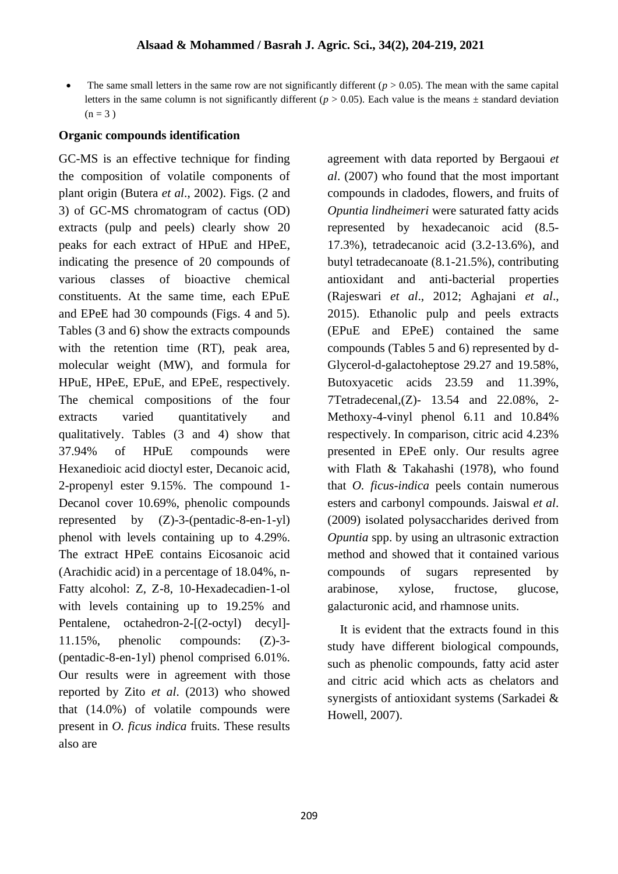The same small letters in the same row are not significantly different  $(p > 0.05)$ . The mean with the same capital letters in the same column is not significantly different ( $p > 0.05$ ). Each value is the means  $\pm$  standard deviation  $(n = 3)$ 

#### **Organic compounds identification**

GC-MS is an effective technique for finding the composition of volatile components of plant origin (Butera *et al*., 2002). Figs. (2 and 3) of GC-MS chromatogram of cactus (OD) extracts (pulp and peels) clearly show 20 peaks for each extract of HPuE and HPeE, indicating the presence of 20 compounds of various classes of bioactive chemical constituents. At the same time, each EPuE and EPeE had 30 compounds (Figs. 4 and 5). Tables (3 and 6) show the extracts compounds with the retention time (RT), peak area, molecular weight (MW), and formula for HPuE, HPeE, EPuE, and EPeE, respectively. The chemical compositions of the four extracts varied quantitatively and qualitatively. Tables (3 and 4) show that 37.94% of HPuE compounds were Hexanedioic acid dioctyl ester, Decanoic acid, 2-propenyl ester 9.15%. The compound 1- Decanol cover 10.69%, phenolic compounds represented by (Z)-3-(pentadic-8-en-1-yl) phenol with levels containing up to 4.29%. The extract HPeE contains Eicosanoic acid (Arachidic acid) in a percentage of 18.04%, n-Fatty alcohol: Z, Z-8, 10-Hexadecadien-1-ol with levels containing up to 19.25% and Pentalene, octahedron-2-[(2-octyl) decyl]- 11.15%, phenolic compounds: (Z)-3- (pentadic-8-en-1yl) phenol comprised 6.01%. Our results were in agreement with those reported by Zito *et al*. (2013) who showed that (14.0%) of volatile compounds were present in *O. ficus indica* fruits. These results also are

agreement with data reported by Bergaoui *et al*. (2007) who found that the most important compounds in cladodes, flowers, and fruits of *Opuntia lindheimeri* were saturated fatty acids represented by hexadecanoic acid (8.5- 17.3%), tetradecanoic acid (3.2-13.6%), and butyl tetradecanoate (8.1-21.5%), contributing antioxidant and anti-bacterial properties (Rajeswari *et al*., 2012; Aghajani *et al*., 2015). Ethanolic pulp and peels extracts (EPuE and EPeE) contained the same compounds (Tables 5 and 6) represented by d-Glycerol-d-galactoheptose 29.27 and 19.58%, Butoxyacetic acids 23.59 and 11.39%, 7Tetradecenal,(Z)- 13.54 and 22.08%, 2- Methoxy-4-vinyl phenol 6.11 and 10.84% respectively. In comparison, citric acid 4.23% presented in EPeE only. Our results agree with Flath & Takahashi (1978), who found that *O. ficus-indica* peels contain numerous esters and carbonyl compounds. Jaiswal *et al*. (2009) isolated polysaccharides derived from *Opuntia* spp. by using an ultrasonic extraction method and showed that it contained various compounds of sugars represented by arabinose, xylose, fructose, glucose, galacturonic acid, and rhamnose units.

 It is evident that the extracts found in this study have different biological compounds, such as phenolic compounds, fatty acid aster and citric acid which acts as chelators and synergists of antioxidant systems (Sarkadei & Howell, 2007).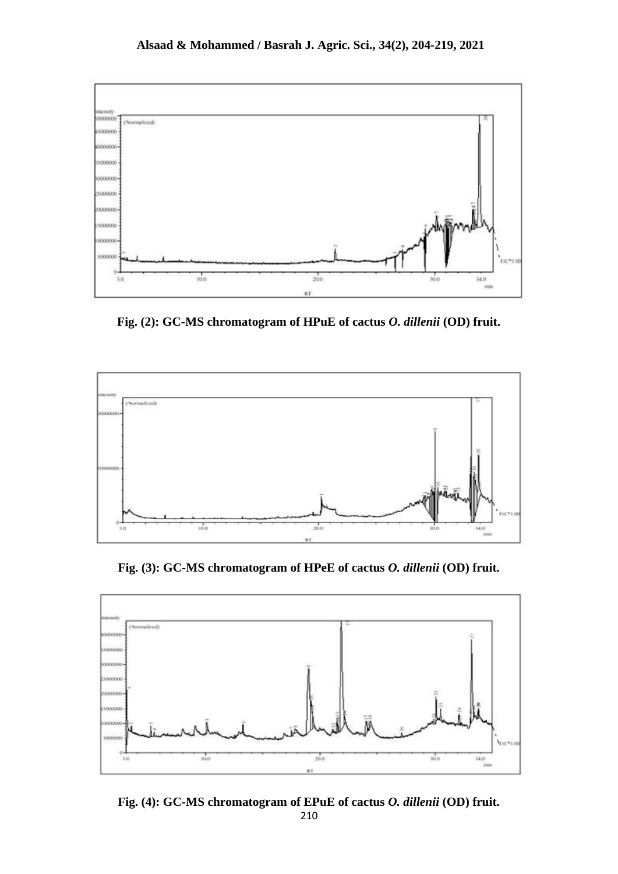

**Fig. (2): GC-MS chromatogram of HPuE of cactus** *O. dillenii* **(OD) fruit.**



**Fig. (3): GC-MS chromatogram of HPeE of cactus** *O. dillenii* **(OD) fruit.**



210 **Fig. (4): GC-MS chromatogram of EPuE of cactus** *O. dillenii* **(OD) fruit.**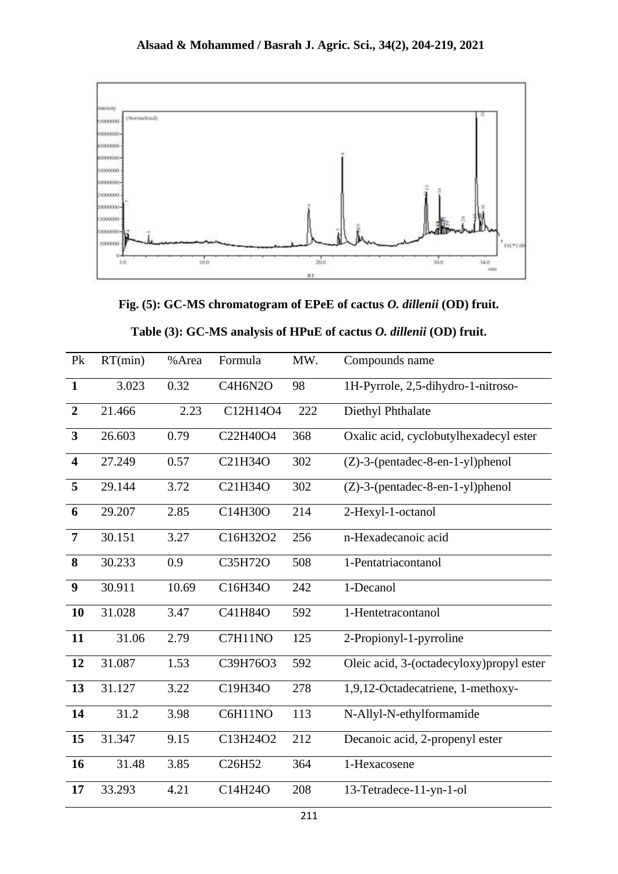

**Fig. (5): GC-MS chromatogram of EPeE of cactus** *O. dillenii* **(OD) fruit.**

|  |                                                                    |                       | Table (3): GC-MS analysis of HPuE of cactus <i>O. dillenii</i> (OD) fruit. |  |
|--|--------------------------------------------------------------------|-----------------------|----------------------------------------------------------------------------|--|
|  | $\Gamma(m):=\begin{bmatrix} 0 & \lambda & m\\ 2 & m \end{bmatrix}$ | $\bf{N}$ and $\bf{N}$ | Commande de noms                                                           |  |

| P <sub>k</sub>          | RT(min) | %Area | Formula                         | MW. | Compounds name                            |
|-------------------------|---------|-------|---------------------------------|-----|-------------------------------------------|
| $\mathbf{1}$            | 3.023   | 0.32  | C4H6N2O                         | 98  | 1H-Pyrrole, 2,5-dihydro-1-nitroso-        |
| $\overline{2}$          | 21.466  | 2.23  | C12H14O4                        | 222 | Diethyl Phthalate                         |
| 3                       | 26.603  | 0.79  | C22H40O4                        | 368 | Oxalic acid, cyclobutylhexadecyl ester    |
| $\overline{\mathbf{4}}$ | 27.249  | 0.57  | C21H34O                         | 302 | (Z)-3-(pentadec-8-en-1-yl)phenol          |
| 5                       | 29.144  | 3.72  | C21H34O                         | 302 | $(Z)-3$ -(pentadec-8-en-1-yl)phenol       |
| 6                       | 29.207  | 2.85  | C14H30O                         | 214 | 2-Hexyl-1-octanol                         |
| $\overline{7}$          | 30.151  | 3.27  | C16H32O2                        | 256 | n-Hexadecanoic acid                       |
| 8                       | 30.233  | 0.9   | C35H72O                         | 508 | 1-Pentatriacontanol                       |
| 9                       | 30.911  | 10.69 | C16H34O                         | 242 | 1-Decanol                                 |
| 10                      | 31.028  | 3.47  | C41H84O                         | 592 | 1-Hentetracontanol                        |
| 11                      | 31.06   | 2.79  | C7H11NO                         | 125 | 2-Propionyl-1-pyrroline                   |
| 12                      | 31.087  | 1.53  | C39H76O3                        | 592 | Oleic acid, 3-(octadecyloxy) propyl ester |
| 13                      | 31.127  | 3.22  | C19H34O                         | 278 | 1,9,12-Octadecatriene, 1-methoxy-         |
| 14                      | 31.2    | 3.98  | C6H11NO                         | 113 | N-Allyl-N-ethylformamide                  |
| 15                      | 31.347  | 9.15  | C13H24O2                        | 212 | Decanoic acid, 2-propenyl ester           |
| 16                      | 31.48   | 3.85  | C <sub>26</sub> H <sub>52</sub> | 364 | 1-Hexacosene                              |
| 17                      | 33.293  | 4.21  | C14H24O                         | 208 | 13-Tetradece-11-yn-1-ol                   |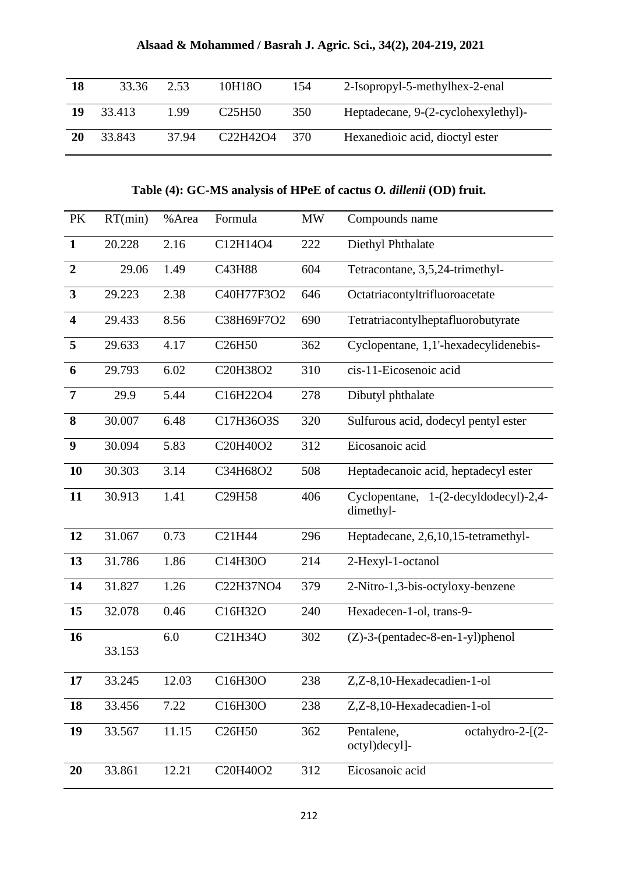# **Alsaad & Mohammed / Basrah J. Agric. Sci., 34(2), 204-219, 2021**

| 18        | 33.36  | 2.53  | 10H18O                                         | 154 | 2-Isopropyl-5-methylhex-2-enal      |
|-----------|--------|-------|------------------------------------------------|-----|-------------------------------------|
| 19        | 33.413 | 1.99  | C <sub>25</sub> H <sub>50</sub>                | 350 | Heptadecane, 9-(2-cyclohexylethyl)- |
| <b>20</b> | 33.843 | 37.94 | C <sub>22</sub> H <sub>42</sub> O <sub>4</sub> | 370 | Hexanedioic acid, dioctyl ester     |

**Table (4): GC-MS analysis of HPeE of cactus** *O. dillenii* **(OD) fruit.**

| PK                      | RT(min) | %Area | Formula                         | <b>MW</b> | Compounds name                                     |
|-------------------------|---------|-------|---------------------------------|-----------|----------------------------------------------------|
| $\mathbf{1}$            | 20.228  | 2.16  | C12H14O4                        | 222       | Diethyl Phthalate                                  |
| $\overline{2}$          | 29.06   | 1.49  | C43H88                          | 604       | Tetracontane, 3,5,24-trimethyl-                    |
| $\mathbf{3}$            | 29.223  | 2.38  | C40H77F3O2                      | 646       | Octatriacontyltrifluoroacetate                     |
| $\overline{\mathbf{4}}$ | 29.433  | 8.56  | C38H69F7O2                      | 690       | Tetratriacontylheptafluorobutyrate                 |
| 5                       | 29.633  | 4.17  | C <sub>26</sub> H <sub>50</sub> | 362       | Cyclopentane, 1,1'-hexadecylidenebis-              |
| 6                       | 29.793  | 6.02  | C20H38O2                        | 310       | cis-11-Eicosenoic acid                             |
| $7\phantom{.0}$         | 29.9    | 5.44  | C16H22O4                        | 278       | Dibutyl phthalate                                  |
| 8                       | 30.007  | 6.48  | C17H36O3S                       | 320       | Sulfurous acid, dodecyl pentyl ester               |
| 9                       | 30.094  | 5.83  | C20H40O2                        | 312       | Eicosanoic acid                                    |
| 10                      | 30.303  | 3.14  | C34H68O2                        | 508       | Heptadecanoic acid, heptadecyl ester               |
| 11                      | 30.913  | 1.41  | C29H58                          | 406       | Cyclopentane, 1-(2-decyldodecyl)-2,4-<br>dimethyl- |
| 12                      | 31.067  | 0.73  | C21H44                          | 296       | Heptadecane, 2,6,10,15-tetramethyl-                |
| 13                      | 31.786  | 1.86  | C14H30O                         | 214       | 2-Hexyl-1-octanol                                  |
| 14                      | 31.827  | 1.26  | C22H37NO4                       | 379       | 2-Nitro-1,3-bis-octyloxy-benzene                   |
| 15                      | 32.078  | 0.46  | C16H32O                         | 240       | Hexadecen-1-ol, trans-9-                           |
| 16                      | 33.153  | 6.0   | C21H34O                         | 302       | $(Z)-3$ -(pentadec-8-en-1-yl)phenol                |
| 17                      | 33.245  | 12.03 | C16H30O                         | 238       | Z,Z-8,10-Hexadecadien-1-ol                         |
| 18                      | 33.456  | 7.22  | C16H30O                         | 238       | Z,Z-8,10-Hexadecadien-1-ol                         |
| 19                      | 33.567  | 11.15 | C26H50                          | 362       | Pentalene,<br>octahydro-2- $[(2-$<br>octyl)decyl]- |
| 20                      | 33.861  | 12.21 | C20H40O2                        | 312       | Eicosanoic acid                                    |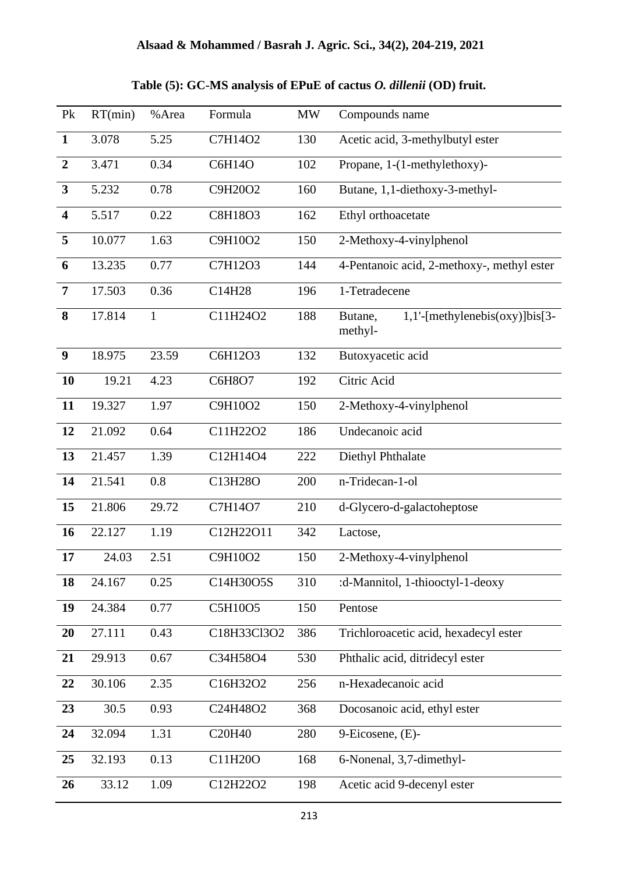# **Table (5): GC-MS analysis of EPuE of cactus** *O. dillenii* **(OD) fruit.**

| P <sub>k</sub>          | RT(min)            | %Area        | Formula       | <b>MW</b> | Compounds name                                          |
|-------------------------|--------------------|--------------|---------------|-----------|---------------------------------------------------------|
| $\mathbf{1}$            | 3.078              | 5.25         | C7H14O2       | 130       | Acetic acid, 3-methylbutyl ester                        |
| $\overline{2}$          | 3.471              | 0.34         | C6H14O        | 102       | Propane, 1-(1-methylethoxy)-                            |
| $\overline{\mathbf{3}}$ | 5.232              | 0.78         | C9H20O2       | 160       | Butane, 1,1-diethoxy-3-methyl-                          |
| $\overline{\mathbf{4}}$ | $\overline{5.517}$ | 0.22         | C8H18O3       | 162       | Ethyl orthoacetate                                      |
| 5                       | 10.077             | 1.63         | C9H10O2       | 150       | 2-Methoxy-4-vinylphenol                                 |
| 6                       | 13.235             | 0.77         | C7H12O3       | 144       | 4-Pentanoic acid, 2-methoxy-, methyl ester              |
| $\overline{7}$          | 17.503             | 0.36         | C14H28        | 196       | 1-Tetradecene                                           |
| 8                       | 17.814             | $\mathbf{1}$ | C11H24O2      | 188       | Butane,<br>$1,1'$ -[methylenebis(oxy)]bis[3-<br>methyl- |
| 9                       | 18.975             | 23.59        | C6H12O3       | 132       | Butoxyacetic acid                                       |
| 10                      | 19.21              | 4.23         | <b>C6H8O7</b> | 192       | Citric Acid                                             |
| 11                      | 19.327             | 1.97         | C9H10O2       | 150       | 2-Methoxy-4-vinylphenol                                 |
| 12                      | 21.092             | 0.64         | C11H22O2      | 186       | Undecanoic acid                                         |
| 13                      | 21.457             | 1.39         | C12H14O4      | 222       | Diethyl Phthalate                                       |
| 14                      | 21.541             | 0.8          | C13H28O       | 200       | n-Tridecan-1-ol                                         |
| 15                      | 21.806             | 29.72        | C7H14O7       | 210       | d-Glycero-d-galactoheptose                              |
| 16                      | 22.127             | 1.19         | C12H22O11     | 342       | Lactose,                                                |
| 17                      | 24.03              | 2.51         | C9H10O2       | 150       | 2-Methoxy-4-vinylphenol                                 |
| 18                      | 24.167             | 0.25         | C14H30O5S     | 310       | :d-Mannitol, 1-thiooctyl-1-deoxy                        |
| 19                      | 24.384             | 0.77         | C5H10O5       | 150       | Pentose                                                 |
| 20                      | 27.111             | 0.43         | C18H33Cl3O2   | 386       | Trichloroacetic acid, hexadecyl ester                   |
| 21                      | 29.913             | 0.67         | C34H58O4      | 530       | Phthalic acid, ditridecyl ester                         |
| 22                      | 30.106             | 2.35         | C16H32O2      | 256       | n-Hexadecanoic acid                                     |
| 23                      | 30.5               | 0.93         | C24H48O2      | 368       | Docosanoic acid, ethyl ester                            |
| 24                      | 32.094             | 1.31         | C20H40        | 280       | 9-Eicosene, (E)-                                        |
| 25                      | 32.193             | 0.13         | C11H20O       | 168       | 6-Nonenal, 3,7-dimethyl-                                |
| 26                      | 33.12              | 1.09         | C12H22O2      | 198       | Acetic acid 9-decenyl ester                             |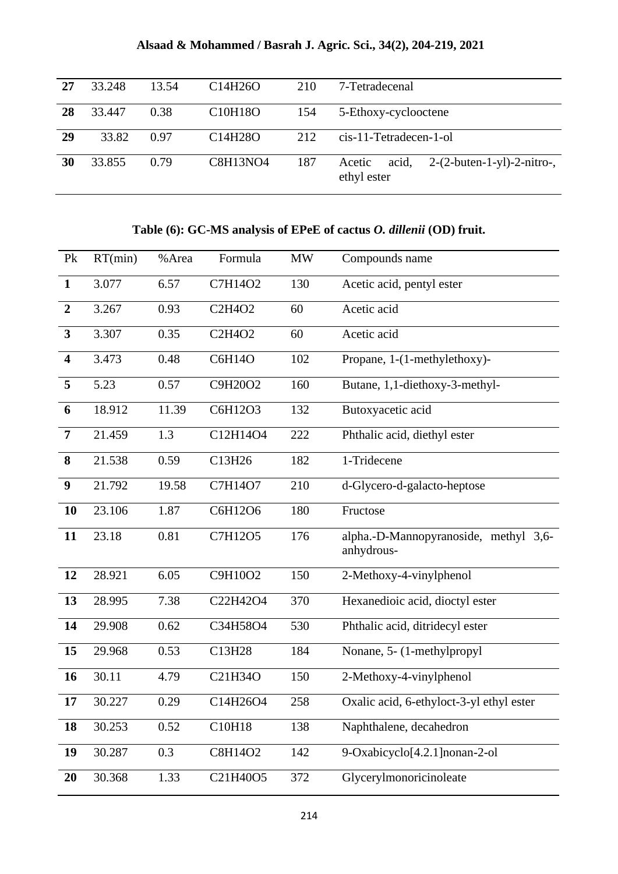**Alsaad & Mohammed / Basrah J. Agric. Sci., 34(2), 204-219, 2021**

| 27 | 33.248 | 13.54 | C14H26O                           | 210 | 7-Tetradecenal                                                |  |
|----|--------|-------|-----------------------------------|-----|---------------------------------------------------------------|--|
| 28 | 33.447 | 0.38  | C10H18O                           | 154 | 5-Ethoxy-cyclooctene                                          |  |
| 29 | 33.82  | 0.97  | C <sub>14</sub> H <sub>28</sub> O | 212 | cis-11-Tetradecen-1-ol                                        |  |
| 30 | 33.855 | 0.79  | <b>C8H13NO4</b>                   | 187 | acid.<br>$2-(2-buten-1-yl)-2-nitro-$<br>Acetic<br>ethyl ester |  |

**Table (6): GC-MS analysis of EPeE of cactus** *O. dillenii* **(OD) fruit.**

| P <sub>k</sub>          | RT(min) | %Area | Formula       | <b>MW</b> | Compounds name                                      |
|-------------------------|---------|-------|---------------|-----------|-----------------------------------------------------|
| $\mathbf{1}$            | 3.077   | 6.57  | C7H14O2       | 130       | Acetic acid, pentyl ester                           |
| $\overline{2}$          | 3.267   | 0.93  | <b>C2H4O2</b> | 60        | Acetic acid                                         |
| $\overline{\mathbf{3}}$ | 3.307   | 0.35  | <b>C2H4O2</b> | 60        | Acetic acid                                         |
| $\overline{\mathbf{4}}$ | 3.473   | 0.48  | C6H14O        | 102       | Propane, 1-(1-methylethoxy)-                        |
| $\overline{\mathbf{5}}$ | 5.23    | 0.57  | C9H20O2       | 160       | Butane, 1,1-diethoxy-3-methyl-                      |
| 6                       | 18.912  | 11.39 | C6H12O3       | 132       | Butoxyacetic acid                                   |
| $\overline{7}$          | 21.459  | 1.3   | C12H14O4      | 222       | Phthalic acid, diethyl ester                        |
| 8                       | 21.538  | 0.59  | C13H26        | 182       | 1-Tridecene                                         |
| $\boldsymbol{9}$        | 21.792  | 19.58 | C7H14O7       | 210       | d-Glycero-d-galacto-heptose                         |
| 10                      | 23.106  | 1.87  | C6H12O6       | 180       | Fructose                                            |
| 11                      | 23.18   | 0.81  | C7H12O5       | 176       | alpha.-D-Mannopyranoside, methyl 3,6-<br>anhydrous- |
| 12                      | 28.921  | 6.05  | C9H10O2       | 150       | 2-Methoxy-4-vinylphenol                             |
| 13                      | 28.995  | 7.38  | C22H42O4      | 370       | Hexanedioic acid, dioctyl ester                     |
| 14                      | 29.908  | 0.62  | C34H58O4      | 530       | Phthalic acid, ditridecyl ester                     |
| 15                      | 29.968  | 0.53  | C13H28        | 184       | Nonane, 5- (1-methylpropyl                          |
| 16                      | 30.11   | 4.79  | C21H34O       | 150       | 2-Methoxy-4-vinylphenol                             |
| 17                      | 30.227  | 0.29  | C14H26O4      | 258       | Oxalic acid, 6-ethyloct-3-yl ethyl ester            |
| 18                      | 30.253  | 0.52  | C10H18        | 138       | Naphthalene, decahedron                             |
| 19                      | 30.287  | 0.3   | C8H14O2       | 142       | 9-Oxabicyclo[4.2.1]nonan-2-ol                       |
| 20                      | 30.368  | 1.33  | C21H40O5      | 372       | Glycerylmonoricinoleate                             |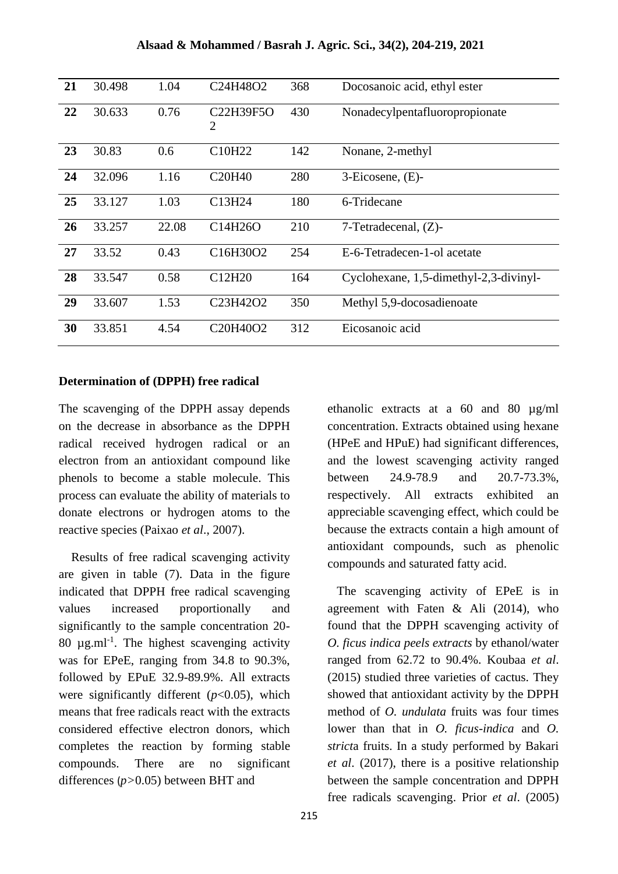| 21 | 30.498 | 1.04  | C24H48O2                        | 368 | Docosanoic acid, ethyl ester           |
|----|--------|-------|---------------------------------|-----|----------------------------------------|
| 22 | 30.633 | 0.76  | C22H39F5O<br>2                  | 430 | Nonadecylpentafluoropropionate         |
| 23 | 30.83  | 0.6   | C10H22                          | 142 | Nonane, 2-methyl                       |
| 24 | 32.096 | 1.16  | C <sub>20</sub> H <sub>40</sub> | 280 | 3-Eicosene, (E)-                       |
| 25 | 33.127 | 1.03  | C13H24                          | 180 | 6-Tridecane                            |
| 26 | 33.257 | 22.08 | C14H26O                         | 210 | $7$ -Tetradecenal, $(Z)$ -             |
| 27 | 33.52  | 0.43  | C16H30O2                        | 254 | E-6-Tetradecen-1-ol acetate            |
| 28 | 33.547 | 0.58  | C12H20                          | 164 | Cyclohexane, 1,5-dimethyl-2,3-divinyl- |
| 29 | 33.607 | 1.53  | C23H42O2                        | 350 | Methyl 5,9-docosadienoate              |
| 30 | 33.851 | 4.54  | C20H40O2                        | 312 | Eicosanoic acid                        |

#### **Determination of (DPPH) free radical**

The scavenging of the DPPH assay depends on the decrease in absorbance as the DPPH radical received hydrogen radical or an electron from an antioxidant compound like phenols to become a stable molecule. This process can evaluate the ability of materials to donate electrons or hydrogen atoms to the reactive species (Paixao *et al*., 2007).

 Results of free radical scavenging activity are given in table (7). Data in the figure indicated that DPPH free radical scavenging values increased proportionally and significantly to the sample concentration 20- 80  $\mu$ g.ml<sup>-1</sup>. The highest scavenging activity was for EPeE, ranging from 34.8 to 90.3%, followed by EPuE 32.9-89.9%. All extracts were significantly different (*p*<0.05), which means that free radicals react with the extracts considered effective electron donors, which completes the reaction by forming stable compounds. There are no significant differences (*p>*0.05) between BHT and

ethanolic extracts at a 60 and 80 µg/ml concentration. Extracts obtained using hexane (HPeE and HPuE) had significant differences, and the lowest scavenging activity ranged between 24.9-78.9 and 20.7-73.3%, respectively. All extracts exhibited an appreciable scavenging effect, which could be because the extracts contain a high amount of antioxidant compounds, such as phenolic compounds and saturated fatty acid.

 The scavenging activity of EPeE is in agreement with Faten & Ali (2014), who found that the DPPH scavenging activity of *O. ficus indica peels extracts* by ethanol/water ranged from 62.72 to 90.4%. Koubaa *et al*. (2015) studied three varieties of cactus. They showed that antioxidant activity by the DPPH method of *O. undulata* fruits was four times lower than that in *O. ficus-indica* and *O. strict*a fruits. In a study performed by Bakari *et al*. (2017), there is a positive relationship between the sample concentration and DPPH free radicals scavenging. Prior *et al*. (2005)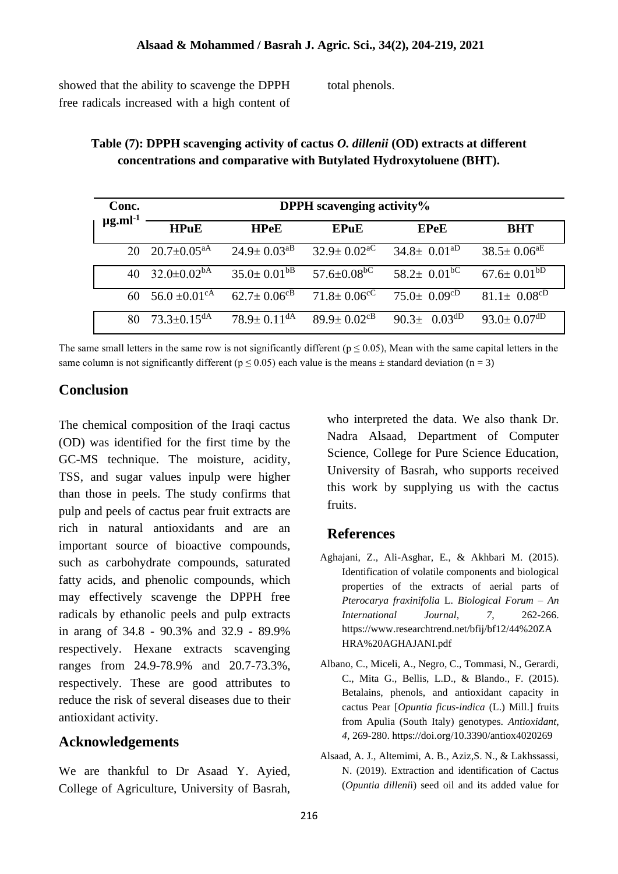showed that the ability to scavenge the DPPH free radicals increased with a high content of total phenols.

| Table $(7)$ : DPPH scavenging activity of cactus O. dillenii $(OD)$ extracts at different |
|-------------------------------------------------------------------------------------------|
| concentrations and comparative with Butylated Hydroxytoluene (BHT).                       |

| Conc.                    | <b>DPPH</b> scavenging activity% |                               |                               |                               |                               |  |  |  |
|--------------------------|----------------------------------|-------------------------------|-------------------------------|-------------------------------|-------------------------------|--|--|--|
| $\mu$ g.ml <sup>-1</sup> | HPuE                             | <b>HPeE</b>                   | EPuE                          | <b>EPeE</b>                   | <b>BHT</b>                    |  |  |  |
| 20                       | $20.7 \pm 0.05$ <sup>aA</sup>    | $24.9 \pm 0.03$ <sup>aB</sup> | $32.9 \pm 0.02$ <sup>aC</sup> | $34.8 \pm 0.01$ <sup>aD</sup> | $38.5 \pm 0.06^{\text{aE}}$   |  |  |  |
| 40                       | $32.0 \pm 0.02$ <sup>bA</sup>    | $35.0 \pm 0.01$ <sup>bB</sup> | $57.6 \pm 0.08$ <sup>bC</sup> | $58.2 \pm 0.01$ <sup>bC</sup> | $67.6 \pm 0.01$ <sup>bD</sup> |  |  |  |
| 60                       | $56.0 \pm 0.01$ <sup>cA</sup>    | $62.7 \pm 0.06^{\text{cB}}$   | $71.8 \pm 0.06$ <sup>cC</sup> | $75.0 \pm 0.09^{\text{cD}}$   | 81.1 $\pm$ 0.08 <sup>cD</sup> |  |  |  |
| 80                       | $73.3 \pm 0.15$ <sup>dA</sup>    | $78.9 \pm 0.11$ <sup>dA</sup> | $89.9 \pm 0.02$ <sup>cB</sup> | 90.3 $\pm$ 0.03 <sup>dD</sup> | $93.0 \pm 0.07$ <sup>dD</sup> |  |  |  |

The same small letters in the same row is not significantly different ( $p \le 0.05$ ), Mean with the same capital letters in the same column is not significantly different ( $p < 0.05$ ) each value is the means  $\pm$  standard deviation ( $n = 3$ )

## **Conclusion**

The chemical composition of the Iraqi cactus (OD) was identified for the first time by the GC-MS technique. The moisture, acidity, TSS, and sugar values inpulp were higher than those in peels. The study confirms that pulp and peels of cactus pear fruit extracts are rich in natural antioxidants and are an important source of bioactive compounds, such as carbohydrate compounds, saturated fatty acids, and phenolic compounds, which may effectively scavenge the DPPH free radicals by ethanolic peels and pulp extracts in arang of 34.8 - 90.3% and 32.9 - 89.9% respectively. Hexane extracts scavenging ranges from 24.9-78.9% and 20.7-73.3%, respectively. These are good attributes to reduce the risk of several diseases due to their antioxidant activity.

## **Acknowledgements**

We are thankful to Dr Asaad Y. Ayied, College of Agriculture, University of Basrah,

who interpreted the data. We also thank Dr. Nadra Alsaad, Department of Computer Science, College for Pure Science Education, University of Basrah, who supports received this work by supplying us with the cactus fruits.

## **References**

- Aghajani, Z., Ali-Asghar, E., & Akhbari M. (2015). Identification of volatile components and biological properties of the extracts of aerial parts of *Pterocarya fraxinifolia* L. *Biological Forum – An International Journal*, *7*, 262-266. https://www.researchtrend.net/bfij/bf12/44%20ZA HRA%20AGHAJANI.pdf
- Albano, C., Miceli, A., Negro, C., Tommasi, N., Gerardi, C., Mita G., Bellis, L.D., & Blando., F. (2015). Betalains, phenols, and antioxidant capacity in cactus Pear [*Opuntia ficus-indica* (L.) Mill.] fruits from Apulia (South Italy) genotypes. *Antioxidant*, *4*, 269-280. https://doi.org/10.3390/antiox4020269
- Alsaad, A. J., Altemimi, A. B., Aziz,S. N., & Lakhssassi, N. (2019). Extraction and identification of Cactus (*Opuntia dilleni*i) seed oil and its added value for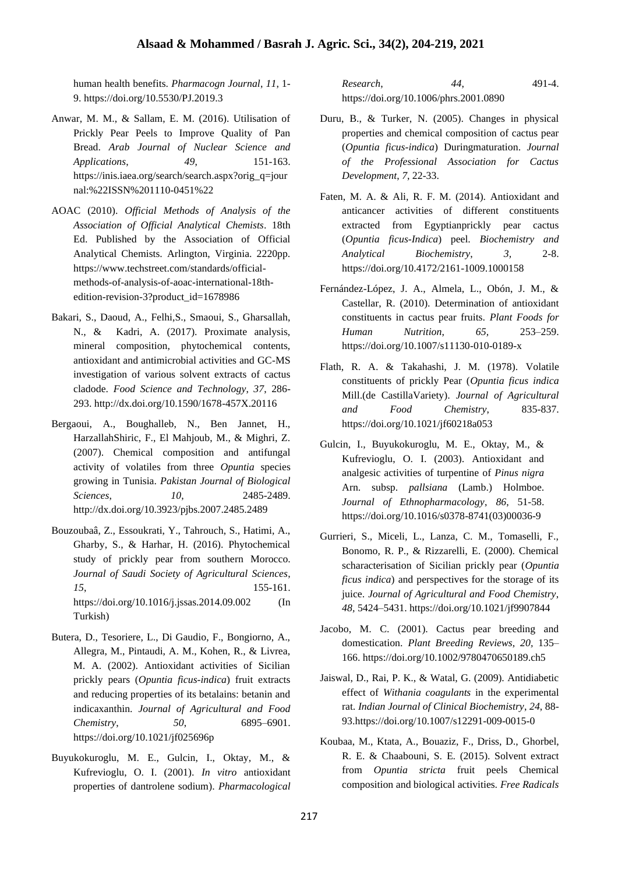human health benefits. *Pharmacogn Journal*, *11*, 1- 9. https://doi.org/10.5530/PJ.2019.3

- Anwar, M. M., & Sallam, E. M. (2016). Utilisation of Prickly Pear Peels to Improve Quality of Pan Bread. *Arab Journal of Nuclear Science and Applications*, *49*, 151-163. https://inis.iaea.org/search/search.aspx?orig\_q=jour nal:%22ISSN%201110-0451%22
- AOAC (2010). *Official Methods of Analysis of the Association of Official Analytical Chemists*. 18th Ed. Published by the Association of Official Analytical Chemists. Arlington, Virginia. 2220pp. https://www.techstreet.com/standards/officialmethods-of-analysis-of-aoac-international-18thedition-revision-3?product\_id=1678986
- Bakari, S., Daoud, A., Felhi,S., Smaoui, S., Gharsallah, N., & Kadri, A. (2017). Proximate analysis, mineral composition, phytochemical contents, antioxidant and antimicrobial activities and GC-MS investigation of various solvent extracts of cactus cladode. *Food Science and Technology*, *37*, 286- 293. http://dx.doi.org/10.1590/1678-457X.20116
- Bergaoui, A., Boughalleb, N., Ben Jannet, H., HarzallahShiric, F., El Mahjoub, M., & Mighri, Z. (2007). Chemical composition and antifungal activity of volatiles from three *Opuntia* species growing in Tunisia. *Pakistan Journal of Biological Sciences*, *10*, 2485-2489. http://dx.doi.org/10.3923/pjbs.2007.2485.2489
- Bouzoubaâ, Z., Essoukrati, Y., Tahrouch, S., Hatimi, A., Gharby, S., & Harhar, H. (2016). Phytochemical study of prickly pear from southern Morocco. *Journal of Saudi Society of Agricultural Sciences*, *15*, 155-161. https://doi.org/10.1016/j.jssas.2014.09.002 (In Turkish)
- Butera, D., Tesoriere, L., Di Gaudio, F., Bongiorno, A., Allegra, M., Pintaudi, A. M., Kohen, R., & Livrea, M. A. (2002). Antioxidant activities of Sicilian prickly pears (*Opuntia ficus*-*indica*) fruit extracts and reducing properties of its betalains: betanin and indicaxanthin. *Journal of Agricultural and Food Chemistry*, *50*, 6895–6901. https://doi.org/10.1021/jf025696p
- Buyukokuroglu, M. E., Gulcin, I., Oktay, M., & Kufrevioglu, O. I. (2001). *In vitro* antioxidant properties of dantrolene sodium). *Pharmacological*

*Research*, *44*, 491-4. https://doi.org/10.1006/phrs.2001.0890

- Duru, B., & Turker, N. (2005). Changes in physical properties and chemical composition of cactus pear (*Opuntia ficus-indica*) Duringmaturation. *Journal of the Professional Association for Cactus Development*, *7*, 22-33.
- Faten, M. A. & Ali, R. F. M. (2014). Antioxidant and anticancer activities of different constituents extracted from Egyptianprickly pear cactus (*Opuntia ficus-Indica*) peel. *Biochemistry and Analytical Biochemistry*, *3,* 2-8. https://doi.org/10.4172/2161-1009.1000158
- Fernández-López, J. A., Almela, L., Obón, J. M., & Castellar, R. (2010). Determination of antioxidant constituents in cactus pear fruits. *Plant Foods for Human Nutrition*, *65,* 253–259. https://doi.org/10.1007/s11130-010-0189-x
- Flath, R. A. & Takahashi, J. M. (1978). Volatile constituents of prickly Pear (*Opuntia ficus indica* Mill.(de CastillaVariety). *Journal of Agricultural and Food Chemistry*, 835-837. https://doi.org/10.1021/jf60218a053
- Gulcin, I., Buyukokuroglu, M. E., Oktay, M., & Kufrevioglu, O. I. (2003). Antioxidant and analgesic activities of turpentine of *Pinus nigra* Arn. subsp. *pallsiana* (Lamb.) Holmboe. *Journal of Ethnopharmacology*, *86*, 51-58. https://doi.org/10.1016/s0378-8741(03)00036-9
- Gurrieri, S., Miceli, L., Lanza, C. M., Tomaselli, F., Bonomo, R. P., & Rizzarelli, E. (2000). Chemical scharacterisation of Sicilian prickly pear (*Opuntia ficus indica*) and perspectives for the storage of its juice. *Journal of Agricultural and Food Chemistry*, *48,* 5424–5431. https://doi.org/10.1021/jf9907844
- Jacobo, M. C. (2001). Cactus pear breeding and domestication. *Plant Breeding Reviews*, *20,* 135– 166. https://doi.org/10.1002/9780470650189.ch5
- Jaiswal, D., Rai, P. K., & Watal, G. (2009). Antidiabetic effect of *Withania coagulants* in the experimental rat. *Indian Journal of Clinical Biochemistry*, *24*, 88- 93.https://doi.org/10.1007/s12291-009-0015-0
- Koubaa, M., Ktata, A., Bouaziz, F., Driss, D., Ghorbel, R. E. & Chaabouni, S. E. (2015). Solvent extract from *Opuntia stricta* fruit peels Chemical composition and biological activities. *Free Radicals*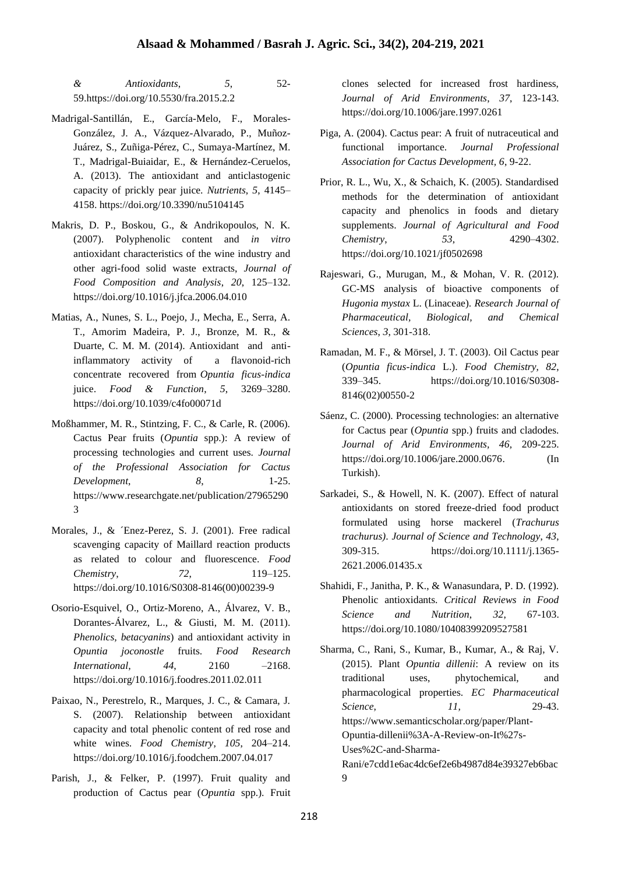*& Antioxidants*, *5*, 52- 59.https://doi.org/10.5530/fra.2015.2.2

- Madrigal-Santillán, E., García-Melo, F., Morales-González, J. A., Vázquez-Alvarado, P., Muñoz-Juárez, S., Zuñiga-Pérez, C., Sumaya-Martínez, M. T., Madrigal-Buiaidar, E., & Hernández-Ceruelos, A. (2013). The antioxidant and anticlastogenic capacity of prickly pear juice. *Nutrients*, *5*, 4145– 4158. https://doi.org/10.3390/nu5104145
- Makris, D. P., Boskou, G., & Andrikopoulos, N. K. (2007). Polyphenolic content and *in vitro* antioxidant characteristics of the wine industry and other agri-food solid waste extracts, *Journal of Food Composition and Analysis*, *20*, 125–132. https://doi.org/10.1016/j.jfca.2006.04.010
- Matias, A., Nunes, S. L., Poejo, J., Mecha, E., Serra, A. T., Amorim Madeira, P. J., Bronze, M. R., & Duarte, C. M. M. (2014). Antioxidant and antiinflammatory activity of a flavonoid-rich concentrate recovered from *Opuntia ficus-indica*  juice. *Food & Function*, *5*, 3269–3280. https://doi.org/10.1039/c4fo00071d
- Moßhammer, M. R., Stintzing, F. C., & Carle, R. (2006). Cactus Pear fruits (*Opuntia* spp.): A review of processing technologies and current uses. *Journal of the Professional Association for Cactus Development*, *8*, 1-25. https://www.researchgate.net/publication/27965290 3
- Morales, J., & ´Enez-Perez, S. J. (2001). Free radical scavenging capacity of Maillard reaction products as related to colour and fluorescence. *Food Chemistry*, *72*, 119–125. https://doi.org/10.1016/S0308-8146(00)00239-9
- Osorio-Esquivel, O., Ortiz-Moreno, A., Álvarez, V. B., Dorantes-Álvarez, L., & Giusti, M. M. (2011). *Phenolics, betacyanins*) and antioxidant activity in *Opuntia joconostle* fruits. *Food Research International*, *44*, 2160 –2168. https://doi.org/10.1016/j.foodres.2011.02.011
- Paixao, N., Perestrelo, R., Marques, J. C., & Camara, J. S. (2007). Relationship between antioxidant capacity and total phenolic content of red rose and white wines. *Food Chemistry*, *105*, 204–214. https://doi.org/10.1016/j.foodchem.2007.04.017
- Parish, J., & Felker, P. (1997). Fruit quality and production of Cactus pear (*Opuntia* spp.). Fruit

clones selected for increased frost hardiness, *Journal of Arid Environments*, *37*, 123-143. https://doi.org/10.1006/jare.1997.0261

- Piga, A. (2004). Cactus pear: A fruit of nutraceutical and functional importance. *Journal Professional Association for Cactus Development, 6*, 9-22.
- Prior, R. L., Wu, X., & Schaich, K. (2005). Standardised methods for the determination of antioxidant capacity and phenolics in foods and dietary supplements. *Journal of Agricultural and Food Chemistry*, *53*, 4290–4302. https://doi.org/10.1021/jf0502698
- Rajeswari, G., Murugan, M., & Mohan, V. R. (2012). GC-MS analysis of bioactive components of *Hugonia mystax* L. (Linaceae). *Research Journal of Pharmaceutical, Biological, and Chemical Sciences*, *3*, 301-318.
- Ramadan, M. F., & Mörsel, J. T. (2003). Oil Cactus pear (*Opuntia ficus-indica* L.). *Food Chemistry, 82*, 339–345. https://doi.org/10.1016/S0308- 8146(02)00550-2
- Sáenz, C. (2000). Processing technologies: an alternative for Cactus pear (*Opuntia* spp.) fruits and cladodes. *Journal of Arid Environments, 46,* 209-225. https://doi.org/10.1006/jare.2000.0676. (In Turkish).
- Sarkadei, S., & Howell, N. K. (2007). Effect of natural antioxidants on stored freeze-dried food product formulated using horse mackerel (*Trachurus trachurus)*. *Journal of Science and Technology*, *43*, 309-315. https://doi.org/10.1111/j.1365- 2621.2006.01435.x
- Shahidi, F., Janitha, P. K., & Wanasundara, P. D. (1992). Phenolic antioxidants. *Critical Reviews in Food Science and Nutrition*, *32*, 67-103. https://doi.org/10.1080/10408399209527581
- Sharma, C., Rani, S., Kumar, B., Kumar, A., & Raj, V. (2015). Plant *Opuntia dillenii*: A review on its traditional uses, phytochemical, and pharmacological properties. *EC Pharmaceutical Science*, *11,* 29-43. https://www.semanticscholar.org/paper/Plant-Opuntia-dillenii%3A-A-Review-on-It%27s-Uses%2C-and-Sharma-Rani/e7cdd1e6ac4dc6ef2e6b4987d84e39327eb6bac
	-

 $\overline{Q}$